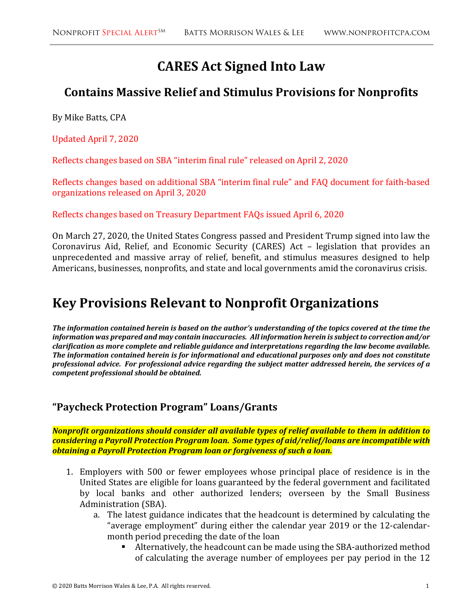# **CARES Act Signed Into Law**

# **Contains Massive Relief and Stimulus Provisions for Nonprofits**

By Mike Batts, CPA

Updated April 7, 2020

Reflects changes based on SBA "interim final rule" released on April 2, 2020

Reflects changes based on additional SBA "interim final rule" and FAQ document for faith-based organizations released on April 3, 2020

Reflects changes based on Treasury Department FAQs issued April 6, 2020

On March 27, 2020, the United States Congress passed and President Trump signed into law the Coronavirus Aid, Relief, and Economic Security (CARES) Act – legislation that provides an unprecedented and massive array of relief, benefit, and stimulus measures designed to help Americans, businesses, nonprofits, and state and local governments amid the coronavirus crisis.

# **Key Provisions Relevant to Nonprofit Organizations**

*The information contained herein is based on the author's understanding of the topics covered at the time the information was prepared and may contain inaccuracies. All information herein is subject to correction and/or clarification as more complete and reliable guidance and interpretations regarding the law become available. The information contained herein is for informational and educational purposes only and does not constitute professional advice. For professional advice regarding the subject matter addressed herein, the services of a competent professional should be obtained.* 

#### **"Paycheck Protection Program" Loans/Grants**

*Nonprofit organizations should consider all available types of relief available to them in addition to considering a Payroll Protection Program loan. Some types of aid/relief/loans are incompatible with obtaining a Payroll Protection Program loan or forgiveness of such a loan.* 

- 1. Employers with 500 or fewer employees whose principal place of residence is in the United States are eligible for loans guaranteed by the federal government and facilitated by local banks and other authorized lenders; overseen by the Small Business Administration (SBA).
	- a. The latest guidance indicates that the headcount is determined by calculating the "average employment" during either the calendar year 2019 or the 12-calendarmonth period preceding the date of the loan
		- Alternatively, the headcount can be made using the SBA-authorized method of calculating the average number of employees per pay period in the 12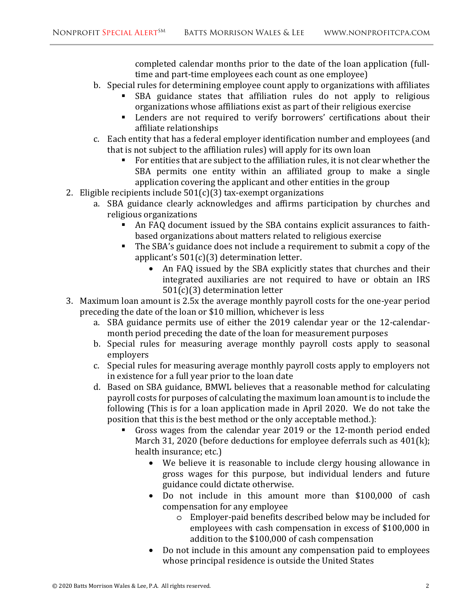completed calendar months prior to the date of the loan application (fulltime and part-time employees each count as one employee)

- b. Special rules for determining employee count apply to organizations with affiliates
	- SBA guidance states that affiliation rules do not apply to religious organizations whose affiliations exist as part of their religious exercise
	- Lenders are not required to verify borrowers' certifications about their affiliate relationships
- c. Each entity that has a federal employer identification number and employees (and that is not subject to the affiliation rules) will apply for its own loan
	- For entities that are subject to the affiliation rules, it is not clear whether the SBA permits one entity within an affiliated group to make a single application covering the applicant and other entities in the group
- 2. Eligible recipients include  $501(c)(3)$  tax-exempt organizations
	- a. SBA guidance clearly acknowledges and affirms participation by churches and religious organizations
		- An FAQ document issued by the SBA contains explicit assurances to faithbased organizations about matters related to religious exercise
		- The SBA's guidance does not include a requirement to submit a copy of the applicant's 501(c)(3) determination letter.
			- An FAQ issued by the SBA explicitly states that churches and their integrated auxiliaries are not required to have or obtain an IRS 501(c)(3) determination letter
- 3. Maximum loan amount is 2.5x the average monthly payroll costs for the one-year period preceding the date of the loan or \$10 million, whichever is less
	- a. SBA guidance permits use of either the 2019 calendar year or the 12-calendarmonth period preceding the date of the loan for measurement purposes
	- b. Special rules for measuring average monthly payroll costs apply to seasonal employers
	- c. Special rules for measuring average monthly payroll costs apply to employers not in existence for a full year prior to the loan date
	- d. Based on SBA guidance, BMWL believes that a reasonable method for calculating payroll costs for purposes of calculating the maximum loan amount is to include the following (This is for a loan application made in April 2020. We do not take the position that this is the best method or the only acceptable method.):
		- Gross wages from the calendar year 2019 or the 12-month period ended March 31, 2020 (before deductions for employee deferrals such as 401(k); health insurance; etc.)
			- We believe it is reasonable to include clergy housing allowance in gross wages for this purpose, but individual lenders and future guidance could dictate otherwise.
			- Do not include in this amount more than \$100,000 of cash compensation for any employee
				- o Employer-paid benefits described below may be included for employees with cash compensation in excess of \$100,000 in addition to the \$100,000 of cash compensation
			- Do not include in this amount any compensation paid to employees whose principal residence is outside the United States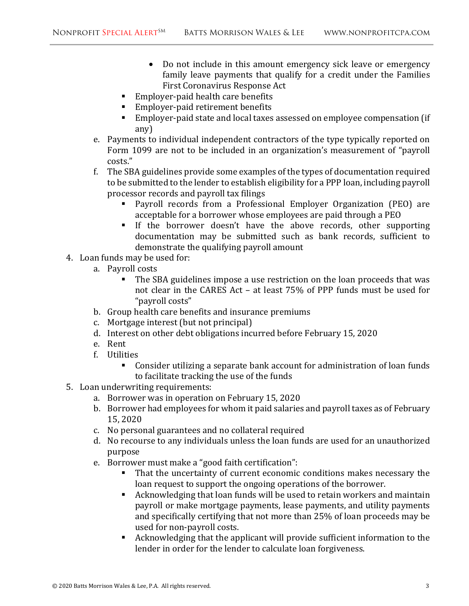- Do not include in this amount emergency sick leave or emergency family leave payments that qualify for a credit under the Families First Coronavirus Response Act
- Employer-paid health care benefits
- Employer-paid retirement benefits
- Employer-paid state and local taxes assessed on employee compensation (if any)
- e. Payments to individual independent contractors of the type typically reported on Form 1099 are not to be included in an organization's measurement of "payroll costs."
- f. The SBA guidelines provide some examples of the types of documentation required to be submitted to the lender to establish eligibility for a PPP loan, including payroll processor records and payroll tax filings
	- Payroll records from a Professional Employer Organization (PEO) are acceptable for a borrower whose employees are paid through a PEO
	- If the borrower doesn't have the above records, other supporting documentation may be submitted such as bank records, sufficient to demonstrate the qualifying payroll amount
- 4. Loan funds may be used for:
	- a. Payroll costs
		- The SBA guidelines impose a use restriction on the loan proceeds that was not clear in the CARES Act – at least 75% of PPP funds must be used for "payroll costs"
	- b. Group health care benefits and insurance premiums
	- c. Mortgage interest (but not principal)
	- d. Interest on other debt obligations incurred before February 15, 2020
	- e. Rent
	- f. Utilities
		- Consider utilizing a separate bank account for administration of loan funds to facilitate tracking the use of the funds
- 5. Loan underwriting requirements:
	- a. Borrower was in operation on February 15, 2020
	- b. Borrower had employees for whom it paid salaries and payroll taxes as of February 15, 2020
	- c. No personal guarantees and no collateral required
	- d. No recourse to any individuals unless the loan funds are used for an unauthorized purpose
	- e. Borrower must make a "good faith certification":
		- That the uncertainty of current economic conditions makes necessary the loan request to support the ongoing operations of the borrower.
		- Acknowledging that loan funds will be used to retain workers and maintain payroll or make mortgage payments, lease payments, and utility payments and specifically certifying that not more than 25% of loan proceeds may be used for non-payroll costs.
		- Acknowledging that the applicant will provide sufficient information to the lender in order for the lender to calculate loan forgiveness.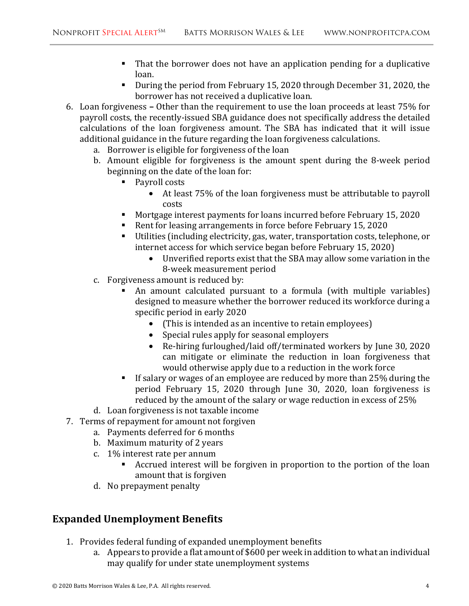- That the borrower does not have an application pending for a duplicative loan.
- During the period from February 15, 2020 through December 31, 2020, the borrower has not received a duplicative loan.
- 6. Loan forgiveness Other than the requirement to use the loan proceeds at least 75% for payroll costs, the recently-issued SBA guidance does not specifically address the detailed calculations of the loan forgiveness amount. The SBA has indicated that it will issue additional guidance in the future regarding the loan forgiveness calculations.
	- a. Borrower is eligible for forgiveness of the loan
	- b. Amount eligible for forgiveness is the amount spent during the 8-week period beginning on the date of the loan for:
		- Payroll costs
			- At least 75% of the loan forgiveness must be attributable to payroll costs
		- Mortgage interest payments for loans incurred before February 15, 2020
		- Rent for leasing arrangements in force before February 15, 2020
		- Utilities (including electricity, gas, water, transportation costs, telephone, or internet access for which service began before February 15, 2020)
			- Unverified reports exist that the SBA may allow some variation in the 8-week measurement period
	- c. Forgiveness amount is reduced by:
		- An amount calculated pursuant to a formula (with multiple variables) designed to measure whether the borrower reduced its workforce during a specific period in early 2020
			- (This is intended as an incentive to retain employees)
			- Special rules apply for seasonal employers
			- Re-hiring furloughed/laid off/terminated workers by June 30, 2020 can mitigate or eliminate the reduction in loan forgiveness that would otherwise apply due to a reduction in the work force
		- If salary or wages of an employee are reduced by more than 25% during the period February 15, 2020 through June 30, 2020, loan forgiveness is reduced by the amount of the salary or wage reduction in excess of 25%
	- d. Loan forgiveness is not taxable income
- 7. Terms of repayment for amount not forgiven
	- a. Payments deferred for 6 months
	- b. Maximum maturity of 2 years
	- c. 1% interest rate per annum
		- Accrued interest will be forgiven in proportion to the portion of the loan amount that is forgiven
	- d. No prepayment penalty

## **Expanded Unemployment Benefits**

- 1. Provides federal funding of expanded unemployment benefits
	- a. Appears to provide a flat amount of \$600 per week in addition to what an individual may qualify for under state unemployment systems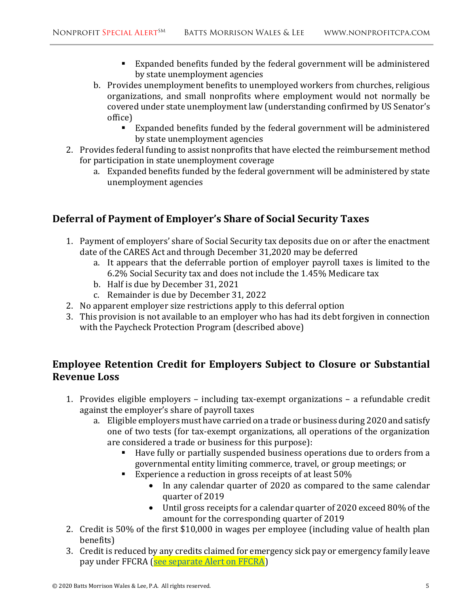- Expanded benefits funded by the federal government will be administered by state unemployment agencies
- b. Provides unemployment benefits to unemployed workers from churches, religious organizations, and small nonprofits where employment would not normally be covered under state unemployment law (understanding confirmed by US Senator's office)
	- Expanded benefits funded by the federal government will be administered by state unemployment agencies
- 2. Provides federal funding to assist nonprofits that have elected the reimbursement method for participation in state unemployment coverage
	- a. Expanded benefits funded by the federal government will be administered by state unemployment agencies

#### **Deferral of Payment of Employer's Share of Social Security Taxes**

- 1. Payment of employers' share of Social Security tax deposits due on or after the enactment date of the CARES Act and through December 31,2020 may be deferred
	- a. It appears that the deferrable portion of employer payroll taxes is limited to the 6.2% Social Security tax and does not include the 1.45% Medicare tax
	- b. Half is due by December 31, 2021
	- c. Remainder is due by December 31, 2022
- 2. No apparent employer size restrictions apply to this deferral option
- 3. This provision is not available to an employer who has had its debt forgiven in connection with the Paycheck Protection Program (described above)

### **Employee Retention Credit for Employers Subject to Closure or Substantial Revenue Loss**

- 1. Provides eligible employers including tax-exempt organizations a refundable credit against the employer's share of payroll taxes
	- a. Eligible employers must have carried on a trade or business during 2020 and satisfy one of two tests (for tax-exempt organizations, all operations of the organization are considered a trade or business for this purpose):
		- Have fully or partially suspended business operations due to orders from a governmental entity limiting commerce, travel, or group meetings; or
		- Experience a reduction in gross receipts of at least 50%
			- In any calendar quarter of 2020 as compared to the same calendar quarter of 2019
			- Until gross receipts for a calendar quarter of 2020 exceed 80% of the amount for the corresponding quarter of 2019
- 2. Credit is 50% of the first \$10,000 in wages per employee (including value of health plan benefits)
- 3. Credit is reduced by any credits claimed for emergency sick pay or emergency family leave pay under FFCRA (see separate Alert on FFCRA)